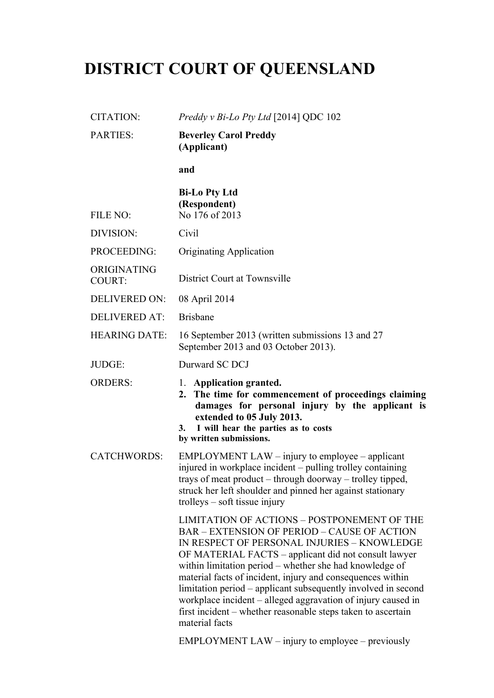# **DISTRICT COURT OF QUEENSLAND**

| <b>CITATION:</b>             | Preddy v Bi-Lo Pty Ltd [2014] QDC 102                                                                                                                                                                                                                                                                                                                                                                                                                                                                                                                                                                           |
|------------------------------|-----------------------------------------------------------------------------------------------------------------------------------------------------------------------------------------------------------------------------------------------------------------------------------------------------------------------------------------------------------------------------------------------------------------------------------------------------------------------------------------------------------------------------------------------------------------------------------------------------------------|
| <b>PARTIES:</b>              | <b>Beverley Carol Preddy</b><br>(Applicant)                                                                                                                                                                                                                                                                                                                                                                                                                                                                                                                                                                     |
|                              | and                                                                                                                                                                                                                                                                                                                                                                                                                                                                                                                                                                                                             |
| FILE NO:                     | <b>Bi-Lo Pty Ltd</b><br>(Respondent)<br>No 176 of 2013                                                                                                                                                                                                                                                                                                                                                                                                                                                                                                                                                          |
| DIVISION:                    | Civil                                                                                                                                                                                                                                                                                                                                                                                                                                                                                                                                                                                                           |
| PROCEEDING:                  | Originating Application                                                                                                                                                                                                                                                                                                                                                                                                                                                                                                                                                                                         |
| ORIGINATING<br><b>COURT:</b> | District Court at Townsville                                                                                                                                                                                                                                                                                                                                                                                                                                                                                                                                                                                    |
| <b>DELIVERED ON:</b>         | 08 April 2014                                                                                                                                                                                                                                                                                                                                                                                                                                                                                                                                                                                                   |
| <b>DELIVERED AT:</b>         | <b>Brisbane</b>                                                                                                                                                                                                                                                                                                                                                                                                                                                                                                                                                                                                 |
| <b>HEARING DATE:</b>         | 16 September 2013 (written submissions 13 and 27<br>September 2013 and 03 October 2013).                                                                                                                                                                                                                                                                                                                                                                                                                                                                                                                        |
| JUDGE:                       | Durward SC DCJ                                                                                                                                                                                                                                                                                                                                                                                                                                                                                                                                                                                                  |
| <b>ORDERS:</b>               | Application granted.<br>$1_{\cdot}$<br>2. The time for commencement of proceedings claiming<br>damages for personal injury by the applicant is<br>extended to 05 July 2013.<br>I will hear the parties as to costs<br>3.<br>by written submissions.                                                                                                                                                                                                                                                                                                                                                             |
| <b>CATCHWORDS:</b>           | $EMPLOYMENT LAW - injury to employee - application$<br>injured in workplace incident – pulling trolley containing<br>trays of meat product – through doorway – trolley tipped,<br>struck her left shoulder and pinned her against stationary<br>trolleys $-$ soft tissue injury                                                                                                                                                                                                                                                                                                                                 |
|                              | <b>LIMITATION OF ACTIONS - POSTPONEMENT OF THE</b><br><b>BAR - EXTENSION OF PERIOD - CAUSE OF ACTION</b><br>IN RESPECT OF PERSONAL INJURIES - KNOWLEDGE<br>OF MATERIAL FACTS - applicant did not consult lawyer<br>within limitation period – whether she had knowledge of<br>material facts of incident, injury and consequences within<br>limitation period – applicant subsequently involved in second<br>workplace incident – alleged aggravation of injury caused in<br>first incident – whether reasonable steps taken to ascertain<br>material facts<br>EMPLOYMENT LAW – injury to employee – previously |
|                              |                                                                                                                                                                                                                                                                                                                                                                                                                                                                                                                                                                                                                 |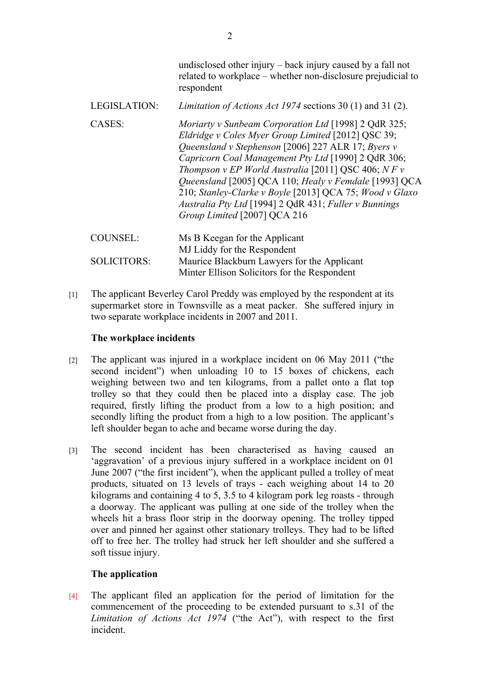|                     | undisclosed other injury $-$ back injury caused by a fall not<br>related to workplace – whether non-disclosure prejudicial to<br>respondent                                                                                                                                                                                                                                                                                                                                                 |
|---------------------|---------------------------------------------------------------------------------------------------------------------------------------------------------------------------------------------------------------------------------------------------------------------------------------------------------------------------------------------------------------------------------------------------------------------------------------------------------------------------------------------|
| <b>LEGISLATION:</b> | <i>Limitation of Actions Act 1974</i> sections 30 (1) and 31 (2).                                                                                                                                                                                                                                                                                                                                                                                                                           |
| CASES:              | Moriarty v Sunbeam Corporation Ltd [1998] 2 QdR 325;<br>Eldridge v Coles Myer Group Limited [2012] QSC 39;<br>Queensland v Stephenson [2006] 227 ALR 17; Byers v<br>Capricorn Coal Management Pty Ltd [1990] 2 QdR 306;<br>Thompson v EP World Australia [2011] QSC 406; $NFv$<br>Queensland [2005] QCA 110; Healy v Femdale [1993] QCA<br>210; Stanley-Clarke v Boyle [2013] QCA 75; Wood v Glaxo<br>Australia Pty Ltd [1994] 2 QdR 431; Fuller v Bunnings<br>Group Limited [2007] QCA 216 |
| <b>COUNSEL:</b>     | Ms B Keegan for the Applicant                                                                                                                                                                                                                                                                                                                                                                                                                                                               |
|                     | MJ Liddy for the Respondent                                                                                                                                                                                                                                                                                                                                                                                                                                                                 |
| <b>SOLICITORS:</b>  | Maurice Blackburn Lawyers for the Applicant                                                                                                                                                                                                                                                                                                                                                                                                                                                 |
|                     | Minter Ellison Solicitors for the Respondent                                                                                                                                                                                                                                                                                                                                                                                                                                                |

[1] The applicant Beverley Carol Preddy was employed by the respondent at its supermarket store in Townsville as a meat packer. She suffered injury in two separate workplace incidents in 2007 and 2011.

## **The workplace incidents**

- [2] The applicant was injured in a workplace incident on 06 May 2011 ("the second incident") when unloading 10 to 15 boxes of chickens, each weighing between two and ten kilograms, from a pallet onto a flat top trolley so that they could then be placed into a display case. The job required, firstly lifting the product from a low to a high position; and secondly lifting the product from a high to a low position. The applicant's left shoulder began to ache and became worse during the day.
- [3] The second incident has been characterised as having caused an 'aggravation' of a previous injury suffered in a workplace incident on 01 June 2007 ("the first incident"), when the applicant pulled a trolley of meat products, situated on 13 levels of trays - each weighing about 14 to 20 kilograms and containing 4 to 5, 3.5 to 4 kilogram pork leg roasts - through a doorway. The applicant was pulling at one side of the trolley when the wheels hit a brass floor strip in the doorway opening. The trolley tipped over and pinned her against other stationary trolleys. They had to be lifted off to free her. The trolley had struck her left shoulder and she suffered a soft tissue injury.

#### **The application**

[4] The applicant filed an application for the period of limitation for the commencement of the proceeding to be extended pursuant to s.31 of the *Limitation of Actions Act 1974* ("the Act"), with respect to the first incident.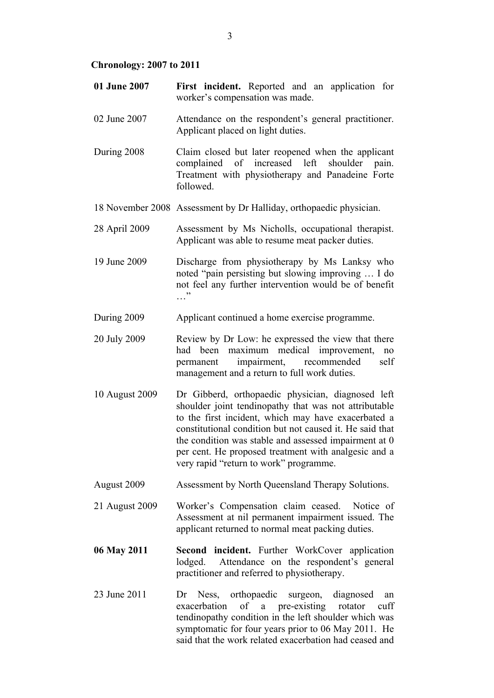#### **Chronology: 2007 to 2011**

- **01 June 2007 First incident.** Reported and an application for worker's compensation was made.
- 02 June 2007 Attendance on the respondent's general practitioner. Applicant placed on light duties.
- During 2008 Claim closed but later reopened when the applicant complained of increased left shoulder pain. Treatment with physiotherapy and Panadeine Forte followed.
- 18 November 2008 Assessment by Dr Halliday, orthopaedic physician.
- 28 April 2009 Assessment by Ms Nicholls, occupational therapist. Applicant was able to resume meat packer duties.
- 19 June 2009 Discharge from physiotherapy by Ms Lanksy who noted "pain persisting but slowing improving … I do not feel any further intervention would be of benefit  $\cdots$
- During 2009 Applicant continued a home exercise programme.
- 20 July 2009 Review by Dr Low: he expressed the view that there had been maximum medical improvement, no permanent impairment, recommended self management and a return to full work duties.
- 10 August 2009 Dr Gibberd, orthopaedic physician, diagnosed left shoulder joint tendinopathy that was not attributable to the first incident, which may have exacerbated a constitutional condition but not caused it. He said that the condition was stable and assessed impairment at 0 per cent. He proposed treatment with analgesic and a very rapid "return to work" programme.
- August 2009 Assessment by North Queensland Therapy Solutions.
- 21 August 2009 Worker's Compensation claim ceased. Notice of Assessment at nil permanent impairment issued. The applicant returned to normal meat packing duties.
- **06 May 2011 Second incident.** Further WorkCover application lodged. Attendance on the respondent's general practitioner and referred to physiotherapy.
- 23 June 2011 Dr Ness, orthopaedic surgeon, diagnosed an exacerbation of a pre-existing rotator cuff tendinopathy condition in the left shoulder which was symptomatic for four years prior to 06 May 2011. He said that the work related exacerbation had ceased and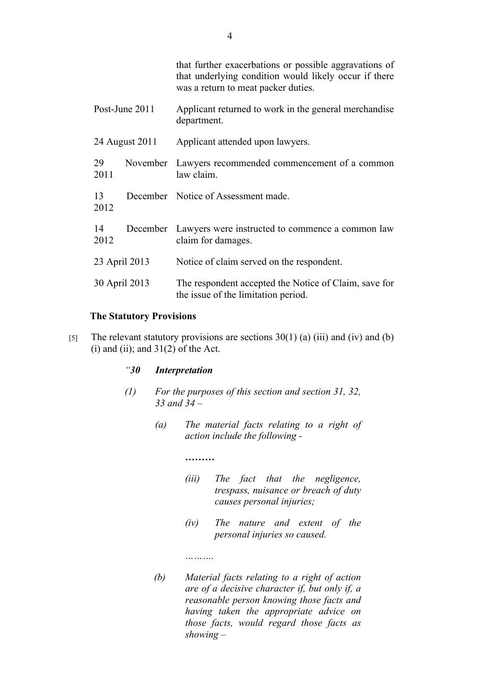|                |          | that further exacerbations or possible aggravations of<br>that underlying condition would likely occur if there<br>was a return to meat packer duties. |
|----------------|----------|--------------------------------------------------------------------------------------------------------------------------------------------------------|
| Post-June 2011 |          | Applicant returned to work in the general merchandise<br>department.                                                                                   |
| 24 August 2011 |          | Applicant attended upon lawyers.                                                                                                                       |
| 29<br>2011     | November | Lawyers recommended commencement of a common<br>law claim.                                                                                             |
| 13<br>2012     |          | December Notice of Assessment made.                                                                                                                    |
| 14<br>2012     | December | Lawyers were instructed to commence a common law<br>claim for damages.                                                                                 |
| 23 April 2013  |          | Notice of claim served on the respondent.                                                                                                              |
| 30 April 2013  |          | The respondent accepted the Notice of Claim, save for<br>the issue of the limitation period.                                                           |

# **The Statutory Provisions**

[5] The relevant statutory provisions are sections  $30(1)$  (a) (iii) and (iv) and (b)  $(i)$  and  $(ii)$ ; and  $31(2)$  of the Act.

#### *"30 Interpretation*

- *(1) For the purposes of this section and section 31, 32, 33 and 34 –*
	- *(a) The material facts relating to a right of action include the following -*

*………*

*……….*

- *(iii) The fact that the negligence, trespass, nuisance or breach of duty causes personal injuries;*
- *(iv) The nature and extent of the personal injuries so caused.*

*(b) Material facts relating to a right of action are of a decisive character if, but only if, a reasonable person knowing those facts and having taken the appropriate advice on those facts, would regard those facts as showing –*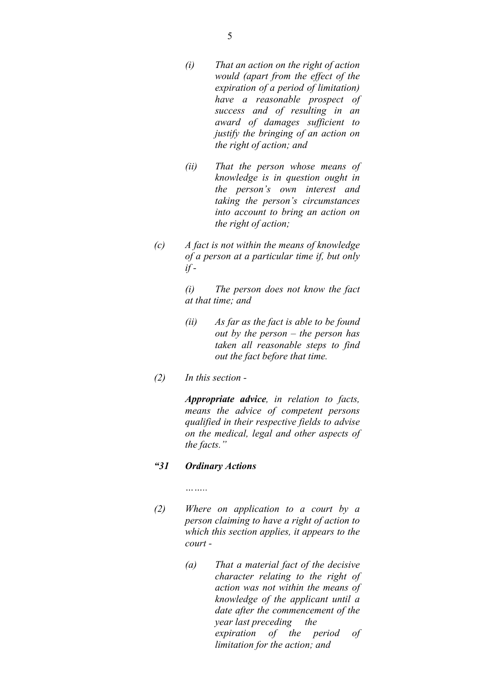- *(i) That an action on the right of action would (apart from the effect of the expiration of a period of limitation) have a reasonable prospect of success and of resulting in an award of damages sufficient to justify the bringing of an action on the right of action; and*
- *(ii) That the person whose means of knowledge is in question ought in the person's own interest and taking the person's circumstances into account to bring an action on the right of action;*
- *(c) A fact is not within the means of knowledge of a person at a particular time if, but only if -*

*(i) The person does not know the fact at that time; and*

- *(ii) As far as the fact is able to be found out by the person – the person has taken all reasonable steps to find out the fact before that time.*
- *(2) In this section*

*Appropriate advice, in relation to facts, means the advice of competent persons qualified in their respective fields to advise on the medical, legal and other aspects of the facts."*

#### *"31 Ordinary Actions*

*……..*

- *(2) Where on application to a court by a person claiming to have a right of action to which this section applies, it appears to the court -*
	- *(a) That a material fact of the decisive character relating to the right of action was not within the means of knowledge of the applicant until a date after the commencement of the year last preceding the expiration of the period of limitation for the action; and*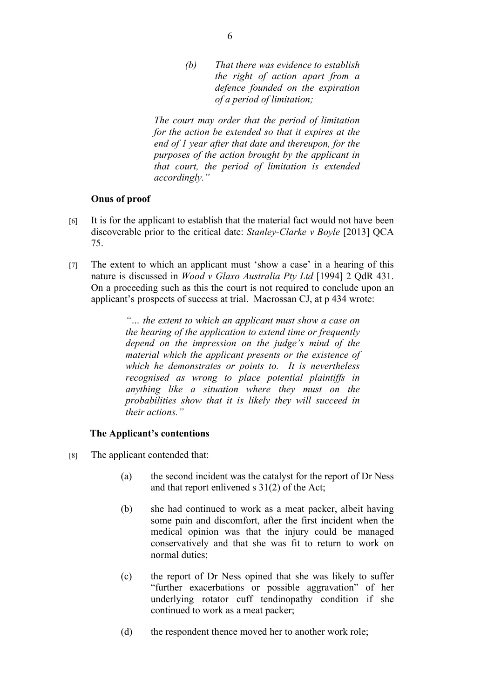*(b) That there was evidence to establish the right of action apart from a defence founded on the expiration of a period of limitation;*

*The court may order that the period of limitation for the action be extended so that it expires at the end of 1 year after that date and thereupon, for the purposes of the action brought by the applicant in that court, the period of limitation is extended accordingly."*

# **Onus of proof**

- [6] It is for the applicant to establish that the material fact would not have been discoverable prior to the critical date: *Stanley-Clarke v Boyle* [2013] QCA 75.
- [7] The extent to which an applicant must 'show a case' in a hearing of this nature is discussed in *Wood v Glaxo Australia Pty Ltd* [1994] 2 QdR 431. On a proceeding such as this the court is not required to conclude upon an applicant's prospects of success at trial. Macrossan CJ, at p 434 wrote:

*"… the extent to which an applicant must show a case on the hearing of the application to extend time or frequently depend on the impression on the judge's mind of the material which the applicant presents or the existence of which he demonstrates or points to. It is nevertheless recognised as wrong to place potential plaintiffs in anything like a situation where they must on the probabilities show that it is likely they will succeed in their actions."*

# **The Applicant's contentions**

- [8] The applicant contended that:
	- (a) the second incident was the catalyst for the report of Dr Ness and that report enlivened s 31(2) of the Act;
	- (b) she had continued to work as a meat packer, albeit having some pain and discomfort, after the first incident when the medical opinion was that the injury could be managed conservatively and that she was fit to return to work on normal duties;
	- (c) the report of Dr Ness opined that she was likely to suffer "further exacerbations or possible aggravation" of her underlying rotator cuff tendinopathy condition if she continued to work as a meat packer;
	- (d) the respondent thence moved her to another work role;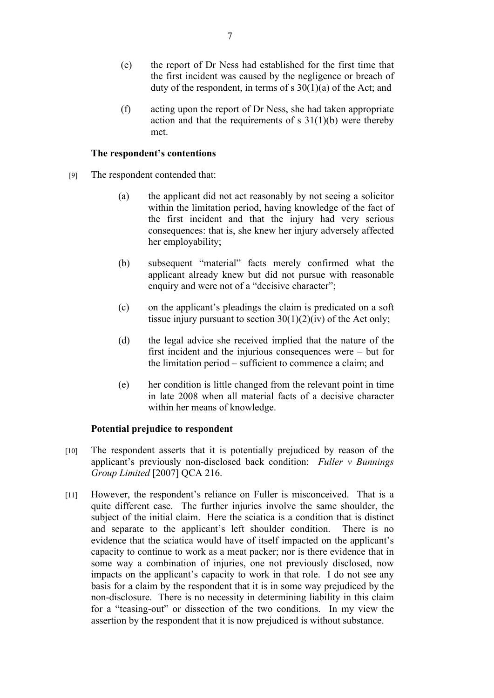- (e) the report of Dr Ness had established for the first time that the first incident was caused by the negligence or breach of duty of the respondent, in terms of s 30(1)(a) of the Act; and
- (f) acting upon the report of Dr Ness, she had taken appropriate action and that the requirements of s  $31(1)(b)$  were thereby met.

## **The respondent's contentions**

- [9] The respondent contended that:
	- (a) the applicant did not act reasonably by not seeing a solicitor within the limitation period, having knowledge of the fact of the first incident and that the injury had very serious consequences: that is, she knew her injury adversely affected her employability;
	- (b) subsequent "material" facts merely confirmed what the applicant already knew but did not pursue with reasonable enquiry and were not of a "decisive character":
	- (c) on the applicant's pleadings the claim is predicated on a soft tissue injury pursuant to section  $30(1)(2)(iv)$  of the Act only;
	- (d) the legal advice she received implied that the nature of the first incident and the injurious consequences were – but for the limitation period – sufficient to commence a claim; and
	- (e) her condition is little changed from the relevant point in time in late 2008 when all material facts of a decisive character within her means of knowledge.

# **Potential prejudice to respondent**

- [10] The respondent asserts that it is potentially prejudiced by reason of the applicant's previously non-disclosed back condition: *Fuller v Bunnings Group Limited* [2007] QCA 216.
- [11] However, the respondent's reliance on Fuller is misconceived. That is a quite different case. The further injuries involve the same shoulder, the subject of the initial claim. Here the sciatica is a condition that is distinct and separate to the applicant's left shoulder condition. There is no evidence that the sciatica would have of itself impacted on the applicant's capacity to continue to work as a meat packer; nor is there evidence that in some way a combination of injuries, one not previously disclosed, now impacts on the applicant's capacity to work in that role. I do not see any basis for a claim by the respondent that it is in some way prejudiced by the non-disclosure. There is no necessity in determining liability in this claim for a "teasing-out" or dissection of the two conditions. In my view the assertion by the respondent that it is now prejudiced is without substance.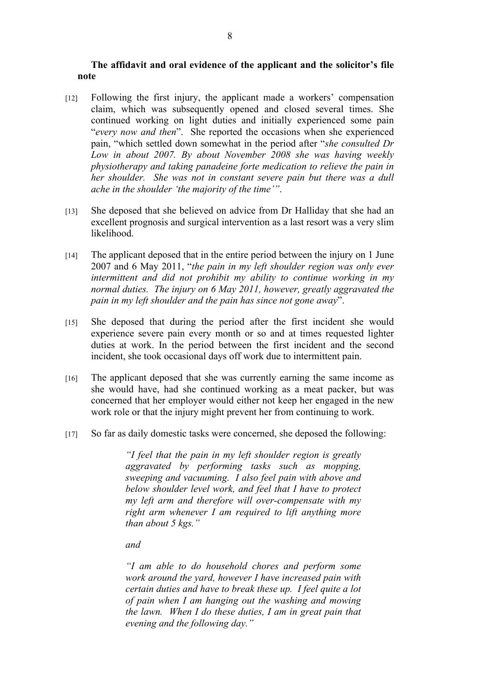# **The affidavit and oral evidence of the applicant and the solicitor's file note**

- [12] Following the first injury, the applicant made a workers' compensation claim, which was subsequently opened and closed several times. She continued working on light duties and initially experienced some pain "*every now and then*". She reported the occasions when she experienced pain, "which settled down somewhat in the period after "*she consulted Dr Low in about 2007. By about November 2008 she was having weekly physiotherapy and taking panadeine forte medication to relieve the pain in her shoulder. She was not in constant severe pain but there was a dull ache in the shoulder 'the majority of the time'"*.
- [13] She deposed that she believed on advice from Dr Halliday that she had an excellent prognosis and surgical intervention as a last resort was a very slim likelihood.
- [14] The applicant deposed that in the entire period between the injury on 1 June 2007 and 6 May 2011, "*the pain in my left shoulder region was only ever intermittent and did not prohibit my ability to continue working in my normal duties. The injury on 6 May 2011, however, greatly aggravated the pain in my left shoulder and the pain has since not gone away*".
- [15] She deposed that during the period after the first incident she would experience severe pain every month or so and at times requested lighter duties at work. In the period between the first incident and the second incident, she took occasional days off work due to intermittent pain.
- [16] The applicant deposed that she was currently earning the same income as she would have, had she continued working as a meat packer, but was concerned that her employer would either not keep her engaged in the new work role or that the injury might prevent her from continuing to work.
- [17] So far as daily domestic tasks were concerned, she deposed the following:

*"I feel that the pain in my left shoulder region is greatly aggravated by performing tasks such as mopping, sweeping and vacuuming. I also feel pain with above and below shoulder level work, and feel that I have to protect my left arm and therefore will over-compensate with my right arm whenever I am required to lift anything more than about 5 kgs."*

*and* 

*"I am able to do household chores and perform some work around the yard, however I have increased pain with certain duties and have to break these up. I feel quite a lot of pain when I am hanging out the washing and mowing the lawn. When I do these duties, I am in great pain that evening and the following day."*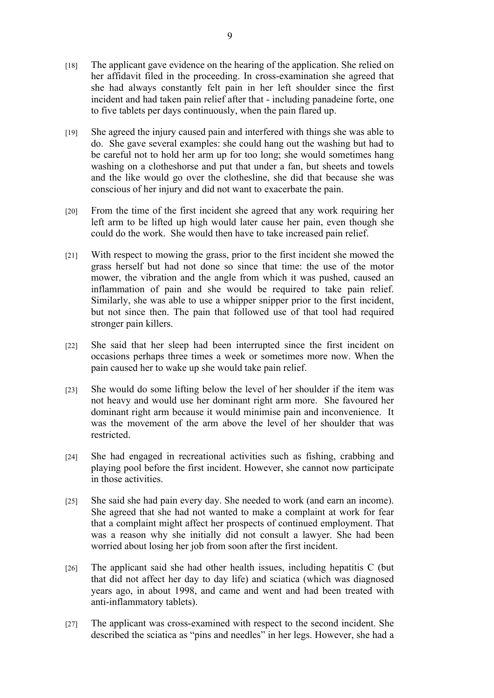- [18] The applicant gave evidence on the hearing of the application. She relied on her affidavit filed in the proceeding. In cross-examination she agreed that she had always constantly felt pain in her left shoulder since the first incident and had taken pain relief after that - including panadeine forte, one to five tablets per days continuously, when the pain flared up.
- [19] She agreed the injury caused pain and interfered with things she was able to do. She gave several examples: she could hang out the washing but had to be careful not to hold her arm up for too long; she would sometimes hang washing on a clotheshorse and put that under a fan, but sheets and towels and the like would go over the clothesline, she did that because she was conscious of her injury and did not want to exacerbate the pain.
- [20] From the time of the first incident she agreed that any work requiring her left arm to be lifted up high would later cause her pain, even though she could do the work. She would then have to take increased pain relief.
- [21] With respect to mowing the grass, prior to the first incident she mowed the grass herself but had not done so since that time: the use of the motor mower, the vibration and the angle from which it was pushed, caused an inflammation of pain and she would be required to take pain relief. Similarly, she was able to use a whipper snipper prior to the first incident, but not since then. The pain that followed use of that tool had required stronger pain killers.
- [22] She said that her sleep had been interrupted since the first incident on occasions perhaps three times a week or sometimes more now. When the pain caused her to wake up she would take pain relief.
- [23] She would do some lifting below the level of her shoulder if the item was not heavy and would use her dominant right arm more. She favoured her dominant right arm because it would minimise pain and inconvenience. It was the movement of the arm above the level of her shoulder that was restricted.
- [24] She had engaged in recreational activities such as fishing, crabbing and playing pool before the first incident. However, she cannot now participate in those activities.
- [25] She said she had pain every day. She needed to work (and earn an income). She agreed that she had not wanted to make a complaint at work for fear that a complaint might affect her prospects of continued employment. That was a reason why she initially did not consult a lawyer. She had been worried about losing her job from soon after the first incident.
- $[26]$  The applicant said she had other health issues, including hepatitis C (but that did not affect her day to day life) and sciatica (which was diagnosed years ago, in about 1998, and came and went and had been treated with anti-inflammatory tablets).
- [27] The applicant was cross-examined with respect to the second incident. She described the sciatica as "pins and needles" in her legs. However, she had a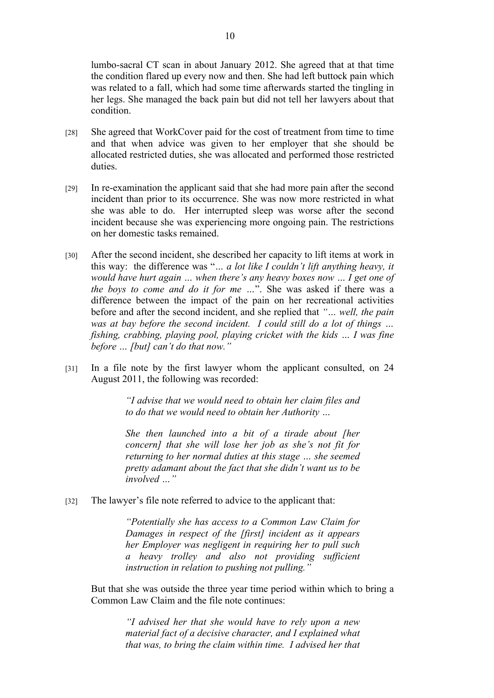lumbo-sacral CT scan in about January 2012. She agreed that at that time the condition flared up every now and then. She had left buttock pain which was related to a fall, which had some time afterwards started the tingling in her legs. She managed the back pain but did not tell her lawyers about that condition.

- [28] She agreed that WorkCover paid for the cost of treatment from time to time and that when advice was given to her employer that she should be allocated restricted duties, she was allocated and performed those restricted duties.
- [29] In re-examination the applicant said that she had more pain after the second incident than prior to its occurrence. She was now more restricted in what she was able to do. Her interrupted sleep was worse after the second incident because she was experiencing more ongoing pain. The restrictions on her domestic tasks remained.
- [30] After the second incident, she described her capacity to lift items at work in this way: the difference was "*… a lot like I couldn't lift anything heavy, it would have hurt again … when there's any heavy boxes now … I get one of the boys to come and do it for me …*". She was asked if there was a difference between the impact of the pain on her recreational activities before and after the second incident, and she replied that *"… well, the pain was at bay before the second incident. I could still do a lot of things … fishing, crabbing, playing pool, playing cricket with the kids … I was fine before … [but] can't do that now."*
- [31] In a file note by the first lawyer whom the applicant consulted, on 24 August 2011, the following was recorded:

*"I advise that we would need to obtain her claim files and to do that we would need to obtain her Authority …*

*She then launched into a bit of a tirade about [her concern] that she will lose her job as she's not fit for returning to her normal duties at this stage … she seemed pretty adamant about the fact that she didn't want us to be involved …"*

[32] The lawyer's file note referred to advice to the applicant that:

*"Potentially she has access to a Common Law Claim for Damages in respect of the [first] incident as it appears her Employer was negligent in requiring her to pull such a heavy trolley and also not providing sufficient instruction in relation to pushing not pulling."*

But that she was outside the three year time period within which to bring a Common Law Claim and the file note continues:

> *"I advised her that she would have to rely upon a new material fact of a decisive character, and I explained what that was, to bring the claim within time. I advised her that*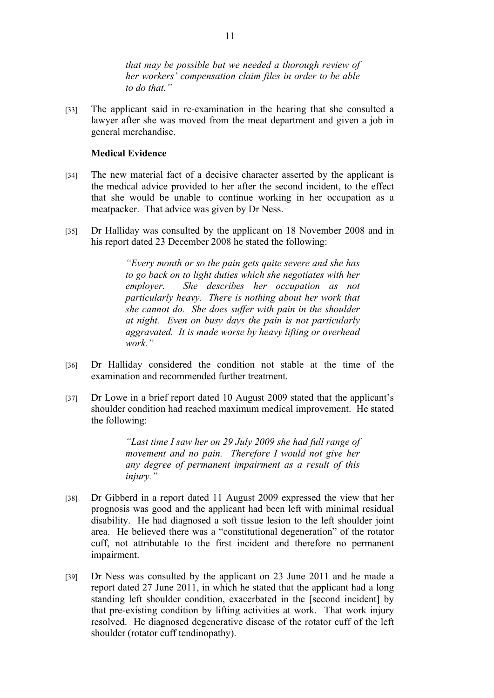*that may be possible but we needed a thorough review of her workers' compensation claim files in order to be able to do that."*

[33] The applicant said in re-examination in the hearing that she consulted a lawyer after she was moved from the meat department and given a job in general merchandise.

## **Medical Evidence**

- [34] The new material fact of a decisive character asserted by the applicant is the medical advice provided to her after the second incident, to the effect that she would be unable to continue working in her occupation as a meatpacker. That advice was given by Dr Ness.
- [35] Dr Halliday was consulted by the applicant on 18 November 2008 and in his report dated 23 December 2008 he stated the following:

*"Every month or so the pain gets quite severe and she has to go back on to light duties which she negotiates with her employer. She describes her occupation as not particularly heavy. There is nothing about her work that she cannot do. She does suffer with pain in the shoulder at night. Even on busy days the pain is not particularly aggravated. It is made worse by heavy lifting or overhead work."*

- [36] Dr Halliday considered the condition not stable at the time of the examination and recommended further treatment.
- [37] Dr Lowe in a brief report dated 10 August 2009 stated that the applicant's shoulder condition had reached maximum medical improvement. He stated the following:

*"Last time I saw her on 29 July 2009 she had full range of movement and no pain. Therefore I would not give her any degree of permanent impairment as a result of this injury."*

- [38] Dr Gibberd in a report dated 11 August 2009 expressed the view that her prognosis was good and the applicant had been left with minimal residual disability. He had diagnosed a soft tissue lesion to the left shoulder joint area. He believed there was a "constitutional degeneration" of the rotator cuff, not attributable to the first incident and therefore no permanent impairment.
- [39] Dr Ness was consulted by the applicant on 23 June 2011 and he made a report dated 27 June 2011, in which he stated that the applicant had a long standing left shoulder condition, exacerbated in the [second incident] by that pre-existing condition by lifting activities at work. That work injury resolved. He diagnosed degenerative disease of the rotator cuff of the left shoulder (rotator cuff tendinopathy).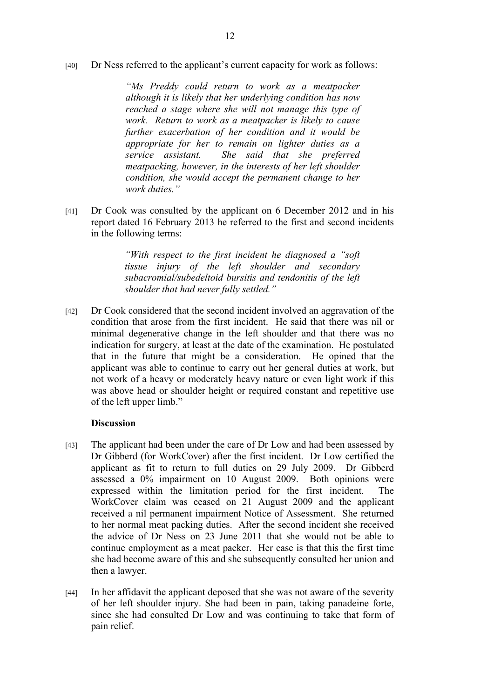[40] Dr Ness referred to the applicant's current capacity for work as follows:

*"Ms Preddy could return to work as a meatpacker although it is likely that her underlying condition has now reached a stage where she will not manage this type of work. Return to work as a meatpacker is likely to cause further exacerbation of her condition and it would be appropriate for her to remain on lighter duties as a service assistant. She said that she preferred meatpacking, however, in the interests of her left shoulder condition, she would accept the permanent change to her work duties."*

[41] Dr Cook was consulted by the applicant on 6 December 2012 and in his report dated 16 February 2013 he referred to the first and second incidents in the following terms:

> *"With respect to the first incident he diagnosed a "soft tissue injury of the left shoulder and secondary subacromial/subedeltoid bursitis and tendonitis of the left shoulder that had never fully settled."*

[42] Dr Cook considered that the second incident involved an aggravation of the condition that arose from the first incident. He said that there was nil or minimal degenerative change in the left shoulder and that there was no indication for surgery, at least at the date of the examination. He postulated that in the future that might be a consideration. He opined that the applicant was able to continue to carry out her general duties at work, but not work of a heavy or moderately heavy nature or even light work if this was above head or shoulder height or required constant and repetitive use of the left upper limb."

#### **Discussion**

- [43] The applicant had been under the care of Dr Low and had been assessed by Dr Gibberd (for WorkCover) after the first incident. Dr Low certified the applicant as fit to return to full duties on 29 July 2009. Dr Gibberd assessed a 0% impairment on 10 August 2009. Both opinions were expressed within the limitation period for the first incident. The WorkCover claim was ceased on 21 August 2009 and the applicant received a nil permanent impairment Notice of Assessment. She returned to her normal meat packing duties. After the second incident she received the advice of Dr Ness on 23 June 2011 that she would not be able to continue employment as a meat packer. Her case is that this the first time she had become aware of this and she subsequently consulted her union and then a lawyer.
- [44] In her affidavit the applicant deposed that she was not aware of the severity of her left shoulder injury. She had been in pain, taking panadeine forte, since she had consulted Dr Low and was continuing to take that form of pain relief.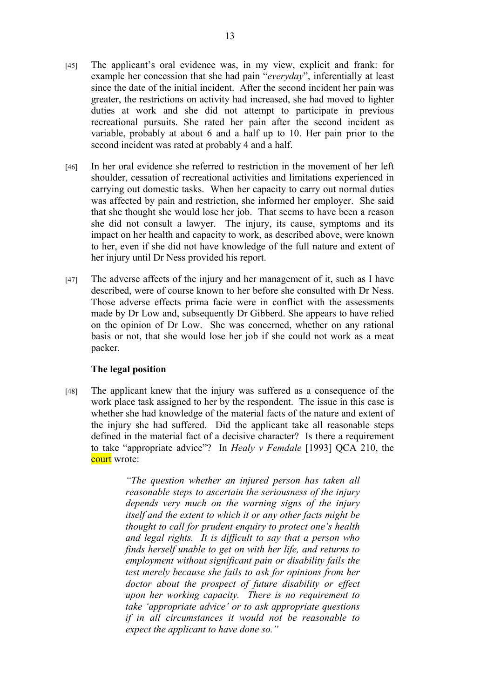- [45] The applicant's oral evidence was, in my view, explicit and frank: for example her concession that she had pain "*everyday*", inferentially at least since the date of the initial incident. After the second incident her pain was greater, the restrictions on activity had increased, she had moved to lighter duties at work and she did not attempt to participate in previous recreational pursuits. She rated her pain after the second incident as variable, probably at about 6 and a half up to 10. Her pain prior to the second incident was rated at probably 4 and a half.
- [46] In her oral evidence she referred to restriction in the movement of her left shoulder, cessation of recreational activities and limitations experienced in carrying out domestic tasks. When her capacity to carry out normal duties was affected by pain and restriction, she informed her employer. She said that she thought she would lose her job. That seems to have been a reason she did not consult a lawyer. The injury, its cause, symptoms and its impact on her health and capacity to work, as described above, were known to her, even if she did not have knowledge of the full nature and extent of her injury until Dr Ness provided his report.
- [47] The adverse affects of the injury and her management of it, such as I have described, were of course known to her before she consulted with Dr Ness. Those adverse effects prima facie were in conflict with the assessments made by Dr Low and, subsequently Dr Gibberd. She appears to have relied on the opinion of Dr Low. She was concerned, whether on any rational basis or not, that she would lose her job if she could not work as a meat packer.

# **The legal position**

[48] The applicant knew that the injury was suffered as a consequence of the work place task assigned to her by the respondent. The issue in this case is whether she had knowledge of the material facts of the nature and extent of the injury she had suffered. Did the applicant take all reasonable steps defined in the material fact of a decisive character? Is there a requirement to take "appropriate advice"? In *Healy v Femdale* [1993] QCA 210, the court wrote:

> *"The question whether an injured person has taken all reasonable steps to ascertain the seriousness of the injury depends very much on the warning signs of the injury itself and the extent to which it or any other facts might be thought to call for prudent enquiry to protect one's health and legal rights. It is difficult to say that a person who finds herself unable to get on with her life, and returns to employment without significant pain or disability fails the test merely because she fails to ask for opinions from her doctor about the prospect of future disability or effect upon her working capacity. There is no requirement to take 'appropriate advice' or to ask appropriate questions if in all circumstances it would not be reasonable to expect the applicant to have done so."*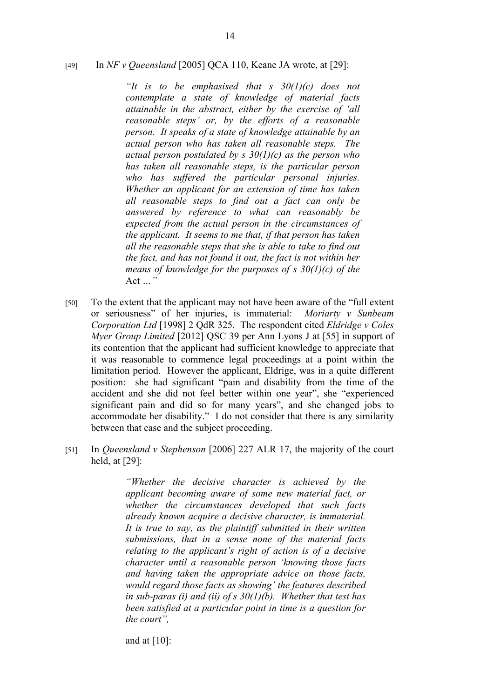#### [49] In *NF v Queensland* [2005] QCA 110, Keane JA wrote, at [29]:

*"It is to be emphasised that s 30(1)(c) does not contemplate a state of knowledge of material facts attainable in the abstract, either by the exercise of 'all reasonable steps' or, by the efforts of a reasonable person. It speaks of a state of knowledge attainable by an actual person who has taken all reasonable steps. The actual person postulated by s 30(1)(c) as the person who has taken all reasonable steps, is the particular person who has suffered the particular personal injuries. Whether an applicant for an extension of time has taken all reasonable steps to find out a fact can only be answered by reference to what can reasonably be expected from the actual person in the circumstances of the applicant. It seems to me that, if that person has taken all the reasonable steps that she is able to take to find out the fact, and has not found it out, the fact is not within her means of knowledge for the purposes of s 30(1)(c) of the*  Act *…"*

- [50] To the extent that the applicant may not have been aware of the "full extent or seriousness" of her injuries, is immaterial: *Moriarty v Sunbeam Corporation Ltd* [1998] 2 QdR 325. The respondent cited *Eldridge v Coles Myer Group Limited* [2012] QSC 39 per Ann Lyons J at [55] in support of its contention that the applicant had sufficient knowledge to appreciate that it was reasonable to commence legal proceedings at a point within the limitation period. However the applicant, Eldrige, was in a quite different position: she had significant "pain and disability from the time of the accident and she did not feel better within one year", she "experienced significant pain and did so for many years", and she changed jobs to accommodate her disability." I do not consider that there is any similarity between that case and the subject proceeding.
- [51] In *Queensland v Stephenson* [2006] 227 ALR 17, the majority of the court held, at [29]:

*"Whether the decisive character is achieved by the applicant becoming aware of some new material fact, or whether the circumstances developed that such facts already known acquire a decisive character, is immaterial. It is true to say, as the plaintiff submitted in their written submissions, that in a sense none of the material facts relating to the applicant's right of action is of a decisive character until a reasonable person 'knowing those facts and having taken the appropriate advice on those facts, would regard those facts as showing' the features described in sub-paras (i) and (ii) of s 30(1)(b). Whether that test has been satisfied at a particular point in time is a question for the court",* 

and at  $[10]$ :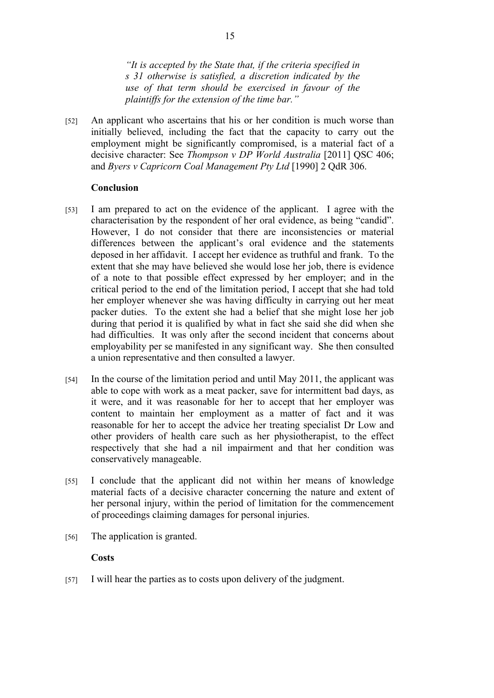*"It is accepted by the State that, if the criteria specified in s 31 otherwise is satisfied, a discretion indicated by the use of that term should be exercised in favour of the plaintiffs for the extension of the time bar."*

[52] An applicant who ascertains that his or her condition is much worse than initially believed, including the fact that the capacity to carry out the employment might be significantly compromised, is a material fact of a decisive character: See *Thompson v DP World Australia* [2011] QSC 406; and *Byers v Capricorn Coal Management Pty Ltd* [1990] 2 QdR 306.

## **Conclusion**

- [53] I am prepared to act on the evidence of the applicant. I agree with the characterisation by the respondent of her oral evidence, as being "candid". However, I do not consider that there are inconsistencies or material differences between the applicant's oral evidence and the statements deposed in her affidavit. I accept her evidence as truthful and frank. To the extent that she may have believed she would lose her job, there is evidence of a note to that possible effect expressed by her employer; and in the critical period to the end of the limitation period, I accept that she had told her employer whenever she was having difficulty in carrying out her meat packer duties. To the extent she had a belief that she might lose her job during that period it is qualified by what in fact she said she did when she had difficulties. It was only after the second incident that concerns about employability per se manifested in any significant way. She then consulted a union representative and then consulted a lawyer.
- [54] In the course of the limitation period and until May 2011, the applicant was able to cope with work as a meat packer, save for intermittent bad days, as it were, and it was reasonable for her to accept that her employer was content to maintain her employment as a matter of fact and it was reasonable for her to accept the advice her treating specialist Dr Low and other providers of health care such as her physiotherapist, to the effect respectively that she had a nil impairment and that her condition was conservatively manageable.
- [55] I conclude that the applicant did not within her means of knowledge material facts of a decisive character concerning the nature and extent of her personal injury, within the period of limitation for the commencement of proceedings claiming damages for personal injuries.
- [56] The application is granted.

## **Costs**

[57] I will hear the parties as to costs upon delivery of the judgment.